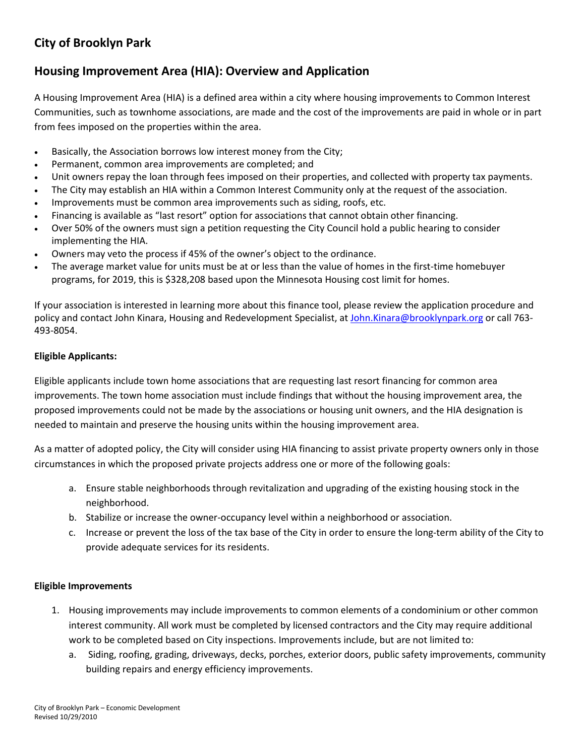# **City of Brooklyn Park**

## **Housing Improvement Area (HIA): Overview and Application**

A Housing Improvement Area (HIA) is a defined area within a city where housing improvements to Common Interest Communities, such as townhome associations, are made and the cost of the improvements are paid in whole or in part from fees imposed on the properties within the area.

- Basically, the Association borrows low interest money from the City;
- Permanent, common area improvements are completed; and
- Unit owners repay the loan through fees imposed on their properties, and collected with property tax payments.
- The City may establish an HIA within a Common Interest Community only at the request of the association.
- Improvements must be common area improvements such as siding, roofs, etc.
- Financing is available as "last resort" option for associations that cannot obtain other financing.
- Over 50% of the owners must sign a petition requesting the City Council hold a public hearing to consider implementing the HIA.
- Owners may veto the process if 45% of the owner's object to the ordinance.
- The average market value for units must be at or less than the value of homes in the first-time homebuyer programs, for 2019, this is \$328,208 based upon the Minnesota Housing cost limit for homes.

If your association is interested in learning more about this finance tool, please review the application procedure and policy and contact John Kinara, Housing and Redevelopment Specialist, at [John.Kinara@brooklynpark.org](mailto:John.Kinara@brooklynpark.org) or call 763-493-8054.

### **Eligible Applicants:**

Eligible applicants include town home associations that are requesting last resort financing for common area improvements. The town home association must include findings that without the housing improvement area, the proposed improvements could not be made by the associations or housing unit owners, and the HIA designation is needed to maintain and preserve the housing units within the housing improvement area.

As a matter of adopted policy, the City will consider using HIA financing to assist private property owners only in those circumstances in which the proposed private projects address one or more of the following goals:

- a. Ensure stable neighborhoods through revitalization and upgrading of the existing housing stock in the neighborhood.
- b. Stabilize or increase the owner-occupancy level within a neighborhood or association.
- c. Increase or prevent the loss of the tax base of the City in order to ensure the long-term ability of the City to provide adequate services for its residents.

## **Eligible Improvements**

- 1. Housing improvements may include improvements to common elements of a condominium or other common interest community. All work must be completed by licensed contractors and the City may require additional work to be completed based on City inspections. Improvements include, but are not limited to:
	- a. Siding, roofing, grading, driveways, decks, porches, exterior doors, public safety improvements, community building repairs and energy efficiency improvements.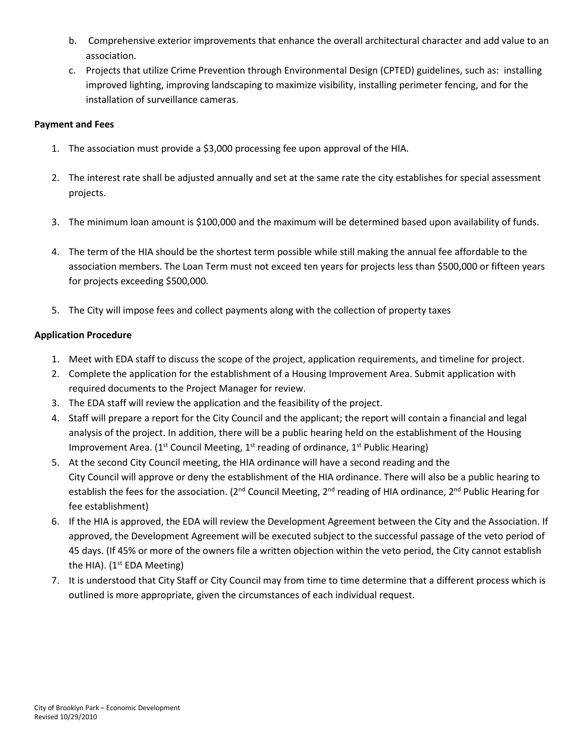- b. Comprehensive exterior improvements that enhance the overall architectural character and add value to an association.
- c. Projects that utilize Crime Prevention through Environmental Design (CPTED) guidelines, such as: installing improved lighting, improving landscaping to maximize visibility, installing perimeter fencing, and for the installation of surveillance cameras.

#### **Payment and Fees**

- 1. The association must provide a \$3,000 processing fee upon approval of the HIA.
- 2. The interest rate shall be adjusted annually and set at the same rate the city establishes for special assessment projects.
- 3. The minimum loan amount is \$100,000 and the maximum will be determined based upon availability of funds.
- 4. The term of the HIA should be the shortest term possible while still making the annual fee affordable to the association members. The Loan Term must not exceed ten years for projects less than \$500,000 or fifteen years for projects exceeding \$500,000.
- 5. The City will impose fees and collect payments along with the collection of property taxes

## **Application Procedure**

- 1. Meet with EDA staff to discuss the scope of the project, application requirements, and timeline for project.
- 2. Complete the application for the establishment of a Housing Improvement Area. Submit application with required documents to the Project Manager for review.
- 3. The EDA staff will review the application and the feasibility of the project.
- 4. Staff will prepare a report for the City Council and the applicant; the report will contain a financial and legal analysis of the project. In addition, there will be a public hearing held on the establishment of the Housing Improvement Area. ( $1<sup>st</sup>$  Council Meeting,  $1<sup>st</sup>$  reading of ordinance,  $1<sup>st</sup>$  Public Hearing)
- 5. At the second City Council meeting, the HIA ordinance will have a second reading and the City Council will approve or deny the establishment of the HIA ordinance. There will also be a public hearing to establish the fees for the association. (2<sup>nd</sup> Council Meeting, 2<sup>nd</sup> reading of HIA ordinance, 2<sup>nd</sup> Public Hearing for fee establishment)
- 6. If the HIA is approved, the EDA will review the Development Agreement between the City and the Association. If approved, the Development Agreement will be executed subject to the successful passage of the veto period of 45 days. (If 45% or more of the owners file a written objection within the veto period, the City cannot establish the HIA). (1<sup>st</sup> EDA Meeting)
- 7. It is understood that City Staff or City Council may from time to time determine that a different process which is outlined is more appropriate, given the circumstances of each individual request.